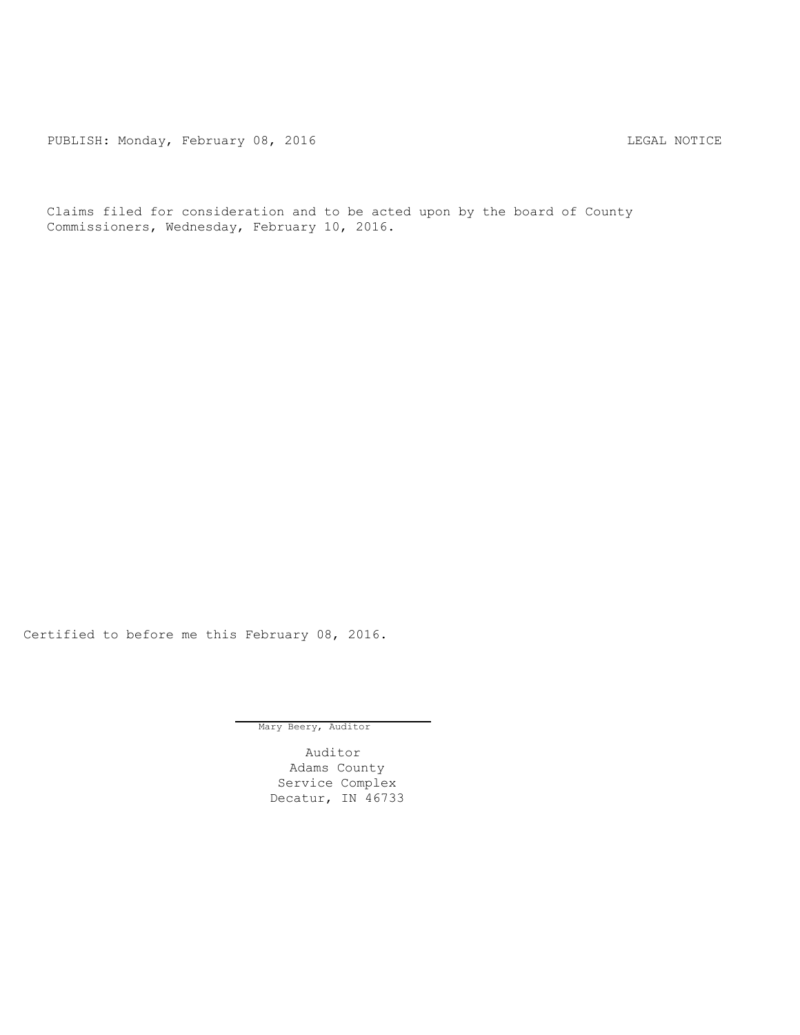PUBLISH: Monday, February 08, 2016 Channel Communications of the CAL NOTICE

Claims filed for consideration and to be acted upon by the board of County Commissioners, Wednesday, February 10, 2016.

Certified to before me this February 08, 2016.

Mary Beery, Auditor

Auditor Adams County Service Complex Decatur, IN 46733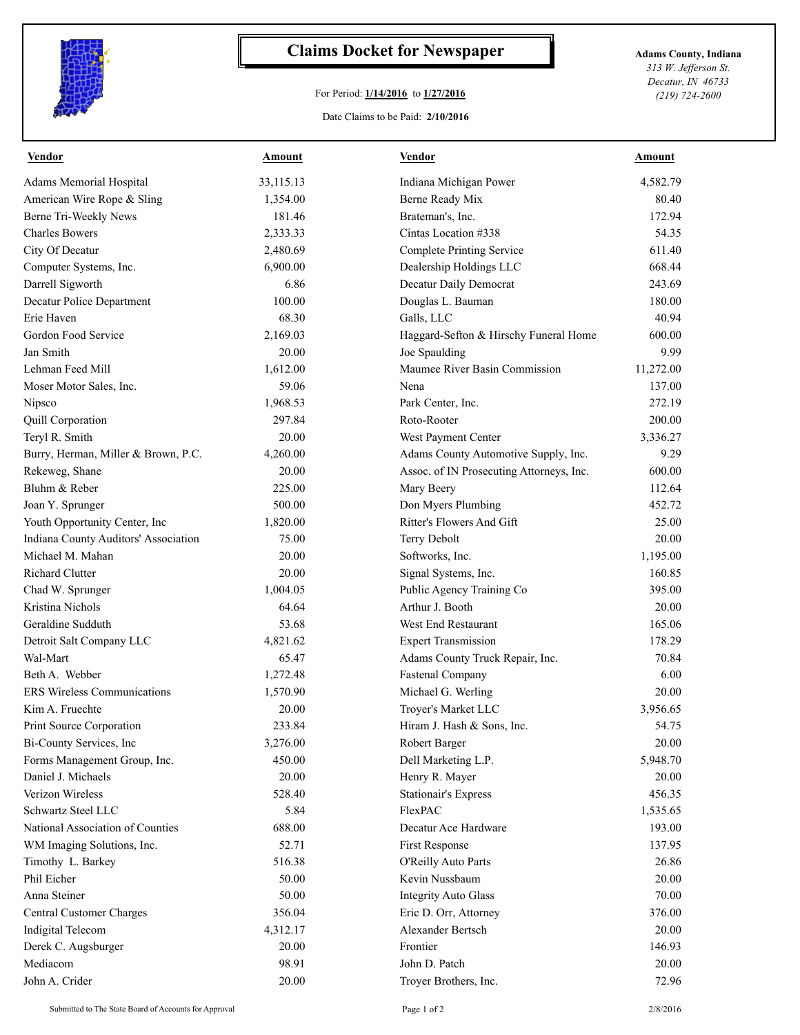

## **Claims Docket for Newspaper Adams County, Indiana**

## For Period: **1/14/2016** to **1/27/2016**

*313 W. Jefferson St. Decatur, IN 46733 (219) 724-2600*

## Date Claims to be Paid: **2/10/2016**

| <b>Vendor</b>                        | Amount    | <b>Vendor</b>                            | Amount    |
|--------------------------------------|-----------|------------------------------------------|-----------|
| Adams Memorial Hospital              | 33,115.13 | Indiana Michigan Power                   | 4,582.79  |
| American Wire Rope & Sling           | 1,354.00  | Berne Ready Mix                          | 80.40     |
| Berne Tri-Weekly News                | 181.46    | Brateman's, Inc.                         | 172.94    |
| <b>Charles Bowers</b>                | 2,333.33  | Cintas Location #338                     | 54.35     |
| City Of Decatur                      | 2,480.69  | <b>Complete Printing Service</b>         | 611.40    |
| Computer Systems, Inc.               | 6,900.00  | Dealership Holdings LLC                  | 668.44    |
| Darrell Sigworth                     | 6.86      | Decatur Daily Democrat                   | 243.69    |
| Decatur Police Department            | 100.00    | Douglas L. Bauman                        | 180.00    |
| Erie Haven                           | 68.30     | Galls, LLC                               | 40.94     |
| Gordon Food Service                  | 2,169.03  | Haggard-Sefton & Hirschy Funeral Home    | 600.00    |
| Jan Smith                            | 20.00     | Joe Spaulding                            | 9.99      |
| Lehman Feed Mill                     | 1,612.00  | Maumee River Basin Commission            | 11,272.00 |
| Moser Motor Sales, Inc.              | 59.06     | Nena                                     | 137.00    |
| Nipsco                               | 1,968.53  | Park Center, Inc.                        | 272.19    |
| Quill Corporation                    | 297.84    | Roto-Rooter                              | 200.00    |
| Teryl R. Smith                       | 20.00     | West Payment Center                      | 3,336.27  |
| Burry, Herman, Miller & Brown, P.C.  | 4,260.00  | Adams County Automotive Supply, Inc.     | 9.29      |
| Rekeweg, Shane                       | 20.00     | Assoc. of IN Prosecuting Attorneys, Inc. | 600.00    |
| Bluhm & Reber                        | 225.00    | Mary Beery                               | 112.64    |
| Joan Y. Sprunger                     | 500.00    | Don Myers Plumbing                       | 452.72    |
| Youth Opportunity Center, Inc        | 1,820.00  | Ritter's Flowers And Gift                | 25.00     |
| Indiana County Auditors' Association | 75.00     | Terry Debolt                             | 20.00     |
| Michael M. Mahan                     | 20.00     | Softworks, Inc.                          | 1,195.00  |
| <b>Richard Clutter</b>               | 20.00     | Signal Systems, Inc.                     | 160.85    |
| Chad W. Sprunger                     | 1,004.05  | Public Agency Training Co                | 395.00    |
| Kristina Nichols                     | 64.64     | Arthur J. Booth                          | 20.00     |
| Geraldine Sudduth                    | 53.68     | West End Restaurant                      | 165.06    |
| Detroit Salt Company LLC             | 4,821.62  | <b>Expert Transmission</b>               | 178.29    |
| Wal-Mart                             | 65.47     | Adams County Truck Repair, Inc.          | 70.84     |
| Beth A. Webber                       | 1,272.48  | Fastenal Company                         | 6.00      |
| <b>ERS Wireless Communications</b>   | 1,570.90  | Michael G. Werling                       | 20.00     |
|                                      |           |                                          |           |
| Kim A. Fruechte                      | 20.00     | Troyer's Market LLC                      | 3,956.65  |
| Print Source Corporation             | 233.84    | Hiram J. Hash & Sons, Inc.               | 54.75     |
| Bi-County Services, Inc              | 3,276.00  | Robert Barger                            | 20.00     |
| Forms Management Group, Inc.         | 450.00    | Dell Marketing L.P.                      | 5,948.70  |
| Daniel J. Michaels                   | 20.00     | Henry R. Mayer                           | 20.00     |
| Verizon Wireless                     | 528.40    | <b>Stationair's Express</b>              | 456.35    |
| Schwartz Steel LLC                   | 5.84      | FlexPAC                                  | 1,535.65  |
| National Association of Counties     | 688.00    | Decatur Ace Hardware                     | 193.00    |
| WM Imaging Solutions, Inc.           | 52.71     | First Response                           | 137.95    |
| Timothy L. Barkey                    | 516.38    | O'Reilly Auto Parts                      | 26.86     |
| Phil Eicher                          | 50.00     | Kevin Nussbaum                           | 20.00     |
| Anna Steiner                         | 50.00     | <b>Integrity Auto Glass</b>              | 70.00     |
| Central Customer Charges             | 356.04    | Eric D. Orr, Attorney                    | 376.00    |
| Indigital Telecom                    | 4,312.17  | Alexander Bertsch                        | 20.00     |
| Derek C. Augsburger                  | 20.00     | Frontier                                 | 146.93    |
| Mediacom                             | 98.91     | John D. Patch                            | 20.00     |
| John A. Crider                       | 20.00     | Troyer Brothers, Inc.                    | 72.96     |